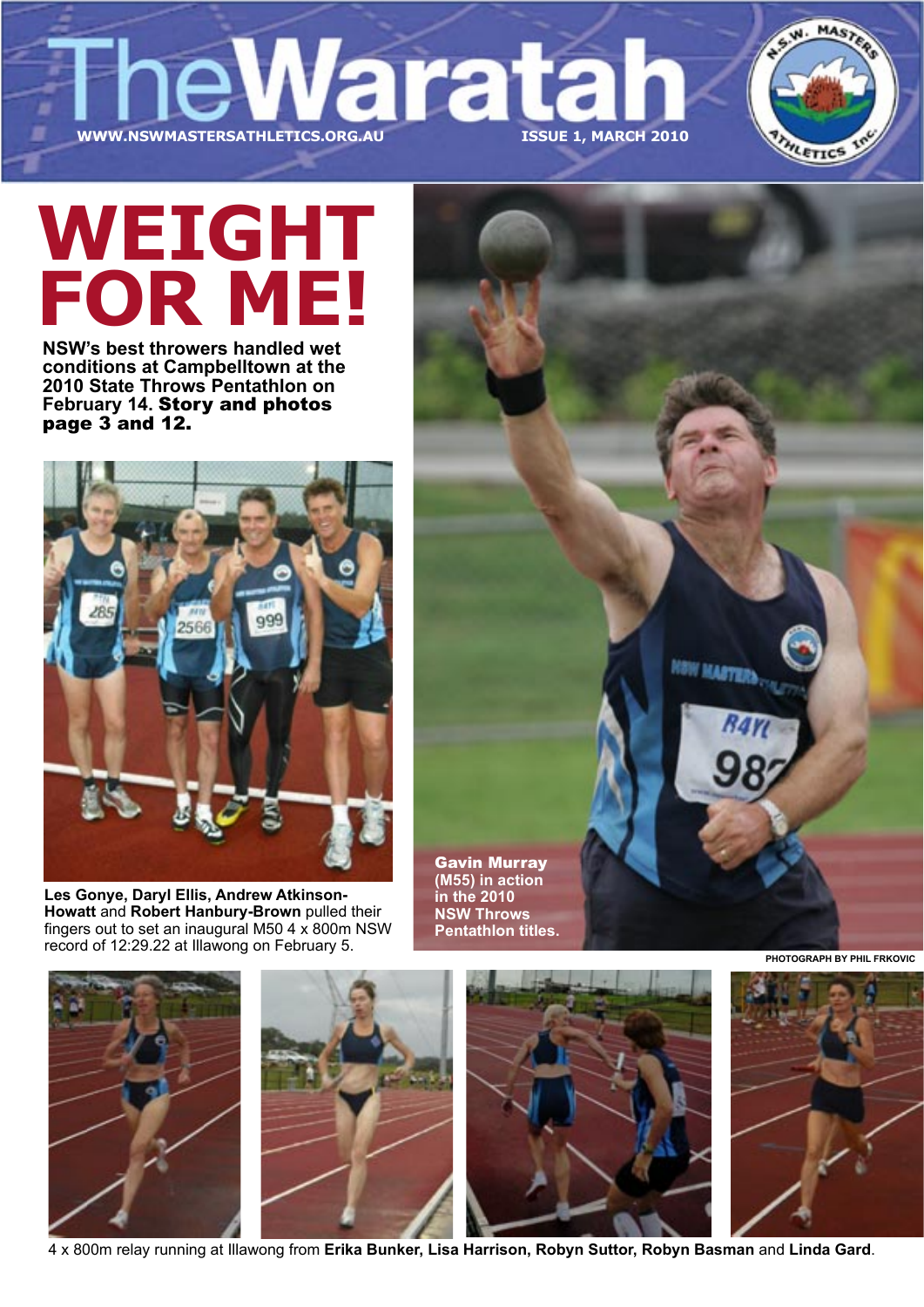WWW.NSWMASTERSATHLETICS.ORG.AU



# **WWW.NSWMASTERSATHLETICS.ORG.AU ISSUE 1, MARCH 2010 WEIGHT FOR ME!**

**NSW's best throwers handled wet conditions at Campbelltown at the 2010 State Throws Pentathlon on February 14.** Story and photos page 3 and 12.



**Les Gonye, Daryl Ellis, Andrew Atkinson-Howatt** and **Robert Hanbury-Brown** pulled their fingers out to set an inaugural M50 4 x 800m NSW record of 12:29.22 at Illawong on February 5.

Gavin Murray **(M55) in action in the 2010 NSW Throws Pentathlon titles.**



4 x 800m relay running at Illawong from **Erika Bunker, Lisa Harrison, Robyn Suttor, Robyn Basman** and **Linda Gard**.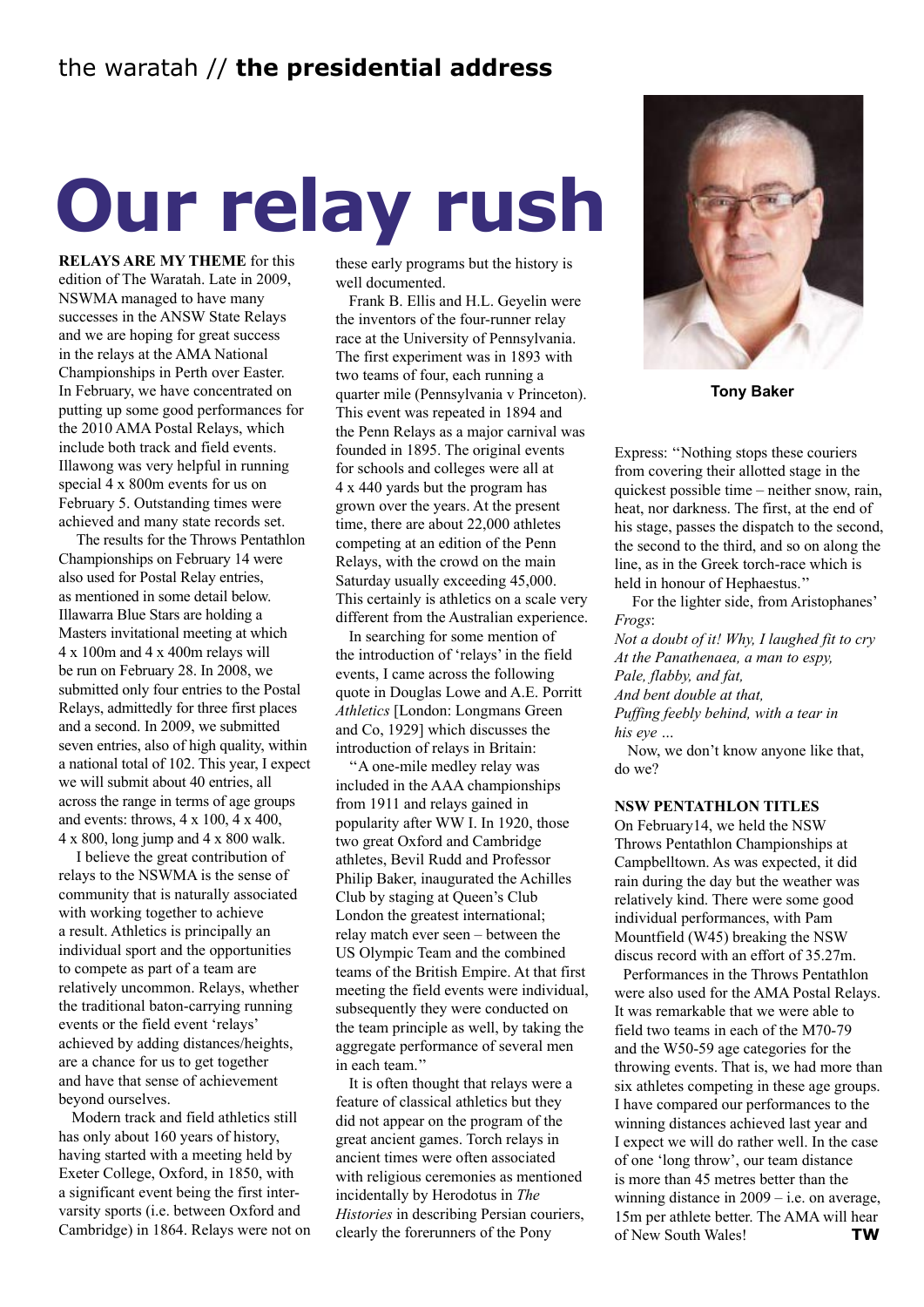# **Our relay rush**

**RELAYS ARE MY THEME** for this edition of The Waratah. Late in 2009, NSWMA managed to have many successes in the ANSW State Relays and we are hoping for great success in the relays at the AMA National Championships in Perth over Easter. In February, we have concentrated on putting up some good performances for the 2010 AMA Postal Relays, which include both track and field events. Illawong was very helpful in running special 4 x 800m events for us on February 5. Outstanding times were achieved and many state records set.

The results for the Throws Pentathlon Championships on February 14 were also used for Postal Relay entries, as mentioned in some detail below. Illawarra Blue Stars are holding a Masters invitational meeting at which 4 x 100m and 4 x 400m relays will be run on February 28. In 2008, we submitted only four entries to the Postal Relays, admittedly for three first places and a second. In 2009, we submitted seven entries, also of high quality, within a national total of 102. This year, I expect we will submit about 40 entries, all across the range in terms of age groups and events: throws, 4 x 100, 4 x 400, 4 x 800, long jump and 4 x 800 walk.

I believe the great contribution of relays to the NSWMA is the sense of community that is naturally associated with working together to achieve a result. Athletics is principally an individual sport and the opportunities to compete as part of a team are relatively uncommon. Relays, whether the traditional baton-carrying running events or the field event 'relays' achieved by adding distances/heights, are a chance for us to get together and have that sense of achievement beyond ourselves.

Modern track and field athletics still has only about 160 years of history, having started with a meeting held by Exeter College, Oxford, in 1850, with a significant event being the first intervarsity sports (i.e. between Oxford and Cambridge) in 1864. Relays were not on these early programs but the history is well documented.

Frank B. Ellis and H.L. Geyelin were the inventors of the four-runner relay race at the University of Pennsylvania. The first experiment was in 1893 with two teams of four, each running a quarter mile (Pennsylvania v Princeton). This event was repeated in 1894 and the Penn Relays as a major carnival was founded in 1895. The original events for schools and colleges were all at 4 x 440 yards but the program has grown over the years. At the present time, there are about 22,000 athletes competing at an edition of the Penn Relays, with the crowd on the main Saturday usually exceeding 45,000. This certainly is athletics on a scale very different from the Australian experience.

In searching for some mention of the introduction of 'relays' in the field events, I came across the following quote in Douglas Lowe and A.E. Porritt *Athletics* [London: Longmans Green and Co, 1929] which discusses the introduction of relays in Britain:

''A one-mile medley relay was included in the AAA championships from 1911 and relays gained in popularity after WW I. In 1920, those two great Oxford and Cambridge athletes, Bevil Rudd and Professor Philip Baker, inaugurated the Achilles Club by staging at Queen's Club London the greatest international; relay match ever seen – between the US Olympic Team and the combined teams of the British Empire. At that first meeting the field events were individual, subsequently they were conducted on the team principle as well, by taking the aggregate performance of several men in each team."

It is often thought that relays were a feature of classical athletics but they did not appear on the program of the great ancient games. Torch relays in ancient times were often associated with religious ceremonies as mentioned incidentally by Herodotus in *The Histories* in describing Persian couriers, clearly the forerunners of the Pony



**Tony Baker**

Express: ''Nothing stops these couriers from covering their allotted stage in the quickest possible time – neither snow, rain, heat, nor darkness. The first, at the end of his stage, passes the dispatch to the second, the second to the third, and so on along the line, as in the Greek torch-race which is held in honour of Hephaestus.''

For the lighter side, from Aristophanes' *Frogs*:

*Not a doubt of it! Why, I laughed fit to cry At the Panathenaea, a man to espy, Pale, flabby, and fat, And bent double at that, Puffing feebly behind, with a tear in his eye …*

Now, we don't know anyone like that, do we?

#### **NSW PENTATHLON TITLES**

On February14, we held the NSW Throws Pentathlon Championships at Campbelltown. As was expected, it did rain during the day but the weather was relatively kind. There were some good individual performances, with Pam Mountfield (W45) breaking the NSW discus record with an effort of 35.27m.

Performances in the Throws Pentathlon were also used for the AMA Postal Relays. It was remarkable that we were able to field two teams in each of the M70-79 and the W50-59 age categories for the throwing events. That is, we had more than six athletes competing in these age groups. I have compared our performances to the winning distances achieved last year and I expect we will do rather well. In the case of one 'long throw', our team distance is more than 45 metres better than the winning distance in 2009 – i.e. on average, 15m per athlete better. The AMA will hear of New South Wales! **TW**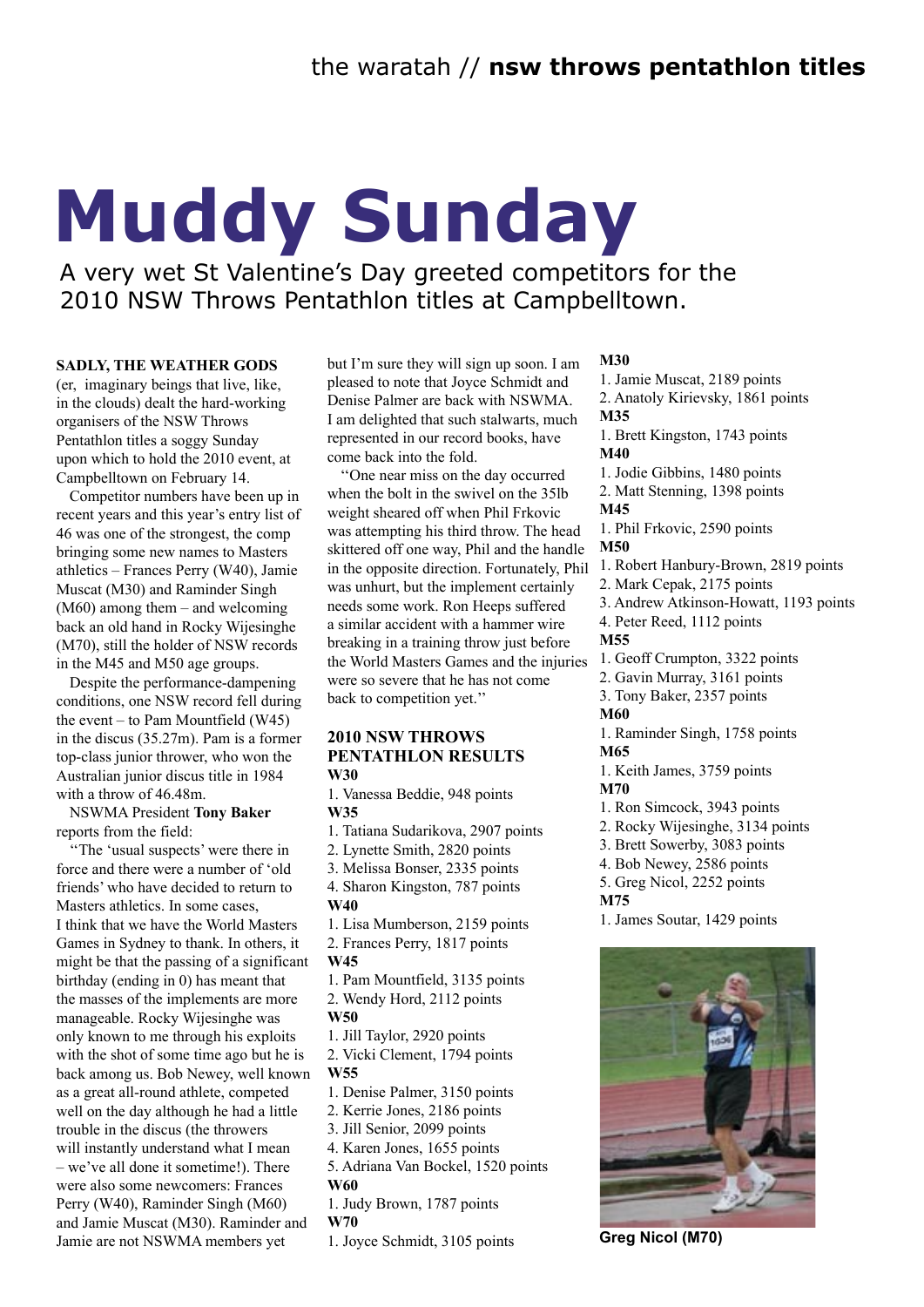# **Muddy Sunday**

A very wet St Valentine's Day greeted competitors for the 2010 NSW Throws Pentathlon titles at Campbelltown.

#### **SADLY, THE WEATHER GODS**

(er, imaginary beings that live, like, in the clouds) dealt the hard-working organisers of the NSW Throws Pentathlon titles a soggy Sunday upon which to hold the 2010 event, at Campbelltown on February 14.

Competitor numbers have been up in recent years and this year's entry list of 46 was one of the strongest, the comp bringing some new names to Masters athletics – Frances Perry (W40), Jamie Muscat (M30) and Raminder Singh (M60) among them – and welcoming back an old hand in Rocky Wijesinghe (M70), still the holder of NSW records in the M45 and M50 age groups.

Despite the performance-dampening conditions, one NSW record fell during the event – to Pam Mountfield (W45) in the discus (35.27m). Pam is a former top-class junior thrower, who won the Australian junior discus title in 1984 with a throw of 46.48m.

NSWMA President **Tony Baker** reports from the field:

''The 'usual suspects' were there in force and there were a number of 'old friends' who have decided to return to Masters athletics. In some cases, I think that we have the World Masters Games in Sydney to thank. In others, it might be that the passing of a significant birthday (ending in 0) has meant that the masses of the implements are more manageable. Rocky Wijesinghe was only known to me through his exploits with the shot of some time ago but he is back among us. Bob Newey, well known as a great all-round athlete, competed well on the day although he had a little trouble in the discus (the throwers will instantly understand what I mean – we've all done it sometime!). There were also some newcomers: Frances Perry (W40), Raminder Singh (M60) and Jamie Muscat (M30). Raminder and Jamie are not NSWMA members yet

but I'm sure they will sign up soon. I am pleased to note that Joyce Schmidt and Denise Palmer are back with NSWMA. I am delighted that such stalwarts, much represented in our record books, have come back into the fold.

''One near miss on the day occurred when the bolt in the swivel on the 35lb weight sheared off when Phil Frkovic was attempting his third throw. The head skittered off one way, Phil and the handle in the opposite direction. Fortunately, Phil was unhurt, but the implement certainly needs some work. Ron Heeps suffered a similar accident with a hammer wire breaking in a training throw just before the World Masters Games and the injuries were so severe that he has not come back to competition yet.''

#### **2010 NSW THROWS PENTATHLON RESULTS W30**

1. Vanessa Beddie, 948 points **W35**

1. Tatiana Sudarikova, 2907 points

2. Lynette Smith, 2820 points

3. Melissa Bonser, 2335 points

4. Sharon Kingston, 787 points **W40**

1. Lisa Mumberson, 2159 points

2. Frances Perry, 1817 points **W45**

1. Pam Mountfield, 3135 points

2. Wendy Hord, 2112 points

**W50**

1. Jill Taylor, 2920 points

2. Vicki Clement, 1794 points **W55**

1. Denise Palmer, 3150 points

2. Kerrie Jones, 2186 points

3. Jill Senior, 2099 points

4. Karen Jones, 1655 points

5. Adriana Van Bockel, 1520 points **W60**

1. Judy Brown, 1787 points

**W70**

1. Joyce Schmidt, 3105 points

#### **M30**

1. Jamie Muscat, 2189 points 2. Anatoly Kirievsky, 1861 points **M35**

1. Brett Kingston, 1743 points **M40**

1. Jodie Gibbins, 1480 points 2. Matt Stenning, 1398 points

#### **M45**

1. Phil Frkovic, 2590 points **M50**

- 1. Robert Hanbury-Brown, 2819 points
- 2. Mark Cepak, 2175 points
- 3. Andrew Atkinson-Howatt, 1193 points
- 4. Peter Reed, 1112 points

#### **M55**

- 1. Geoff Crumpton, 3322 points
- 2. Gavin Murray, 3161 points
- 3. Tony Baker, 2357 points

#### **M60**

1. Raminder Singh, 1758 points

**M65** 1. Keith James, 3759 points **M70**

### 1. Ron Simcock, 3943 points

- 2. Rocky Wijesinghe, 3134 points
- 3. Brett Sowerby, 3083 points
- 4. Bob Newey, 2586 points
- 5. Greg Nicol, 2252 points
- **M75**
- 1. James Soutar, 1429 points



**Greg Nicol (M70)**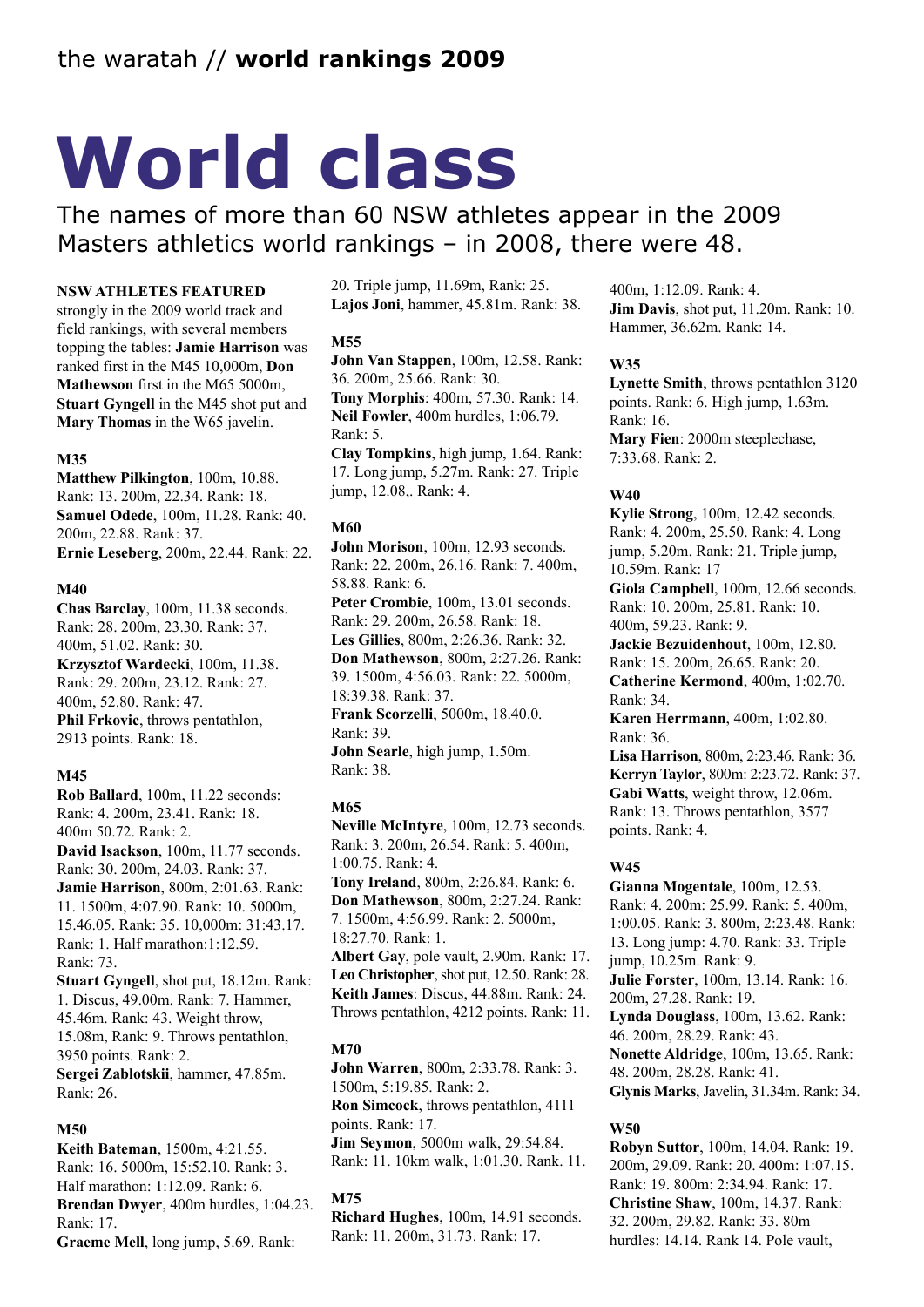# **World class**

The names of more than 60 NSW athletes appear in the 2009 Masters athletics world rankings – in 2008, there were 48.

#### **NSW ATHLETES FEATURED**

strongly in the 2009 world track and field rankings, with several members topping the tables: **Jamie Harrison** was ranked first in the M45 10,000m, **Don Mathewson** first in the M65 5000m, **Stuart Gyngell** in the M45 shot put and **Mary Thomas** in the W65 javelin.

#### **M35**

**Matthew Pilkington**, 100m, 10.88. Rank: 13. 200m, 22.34. Rank: 18. **Samuel Odede**, 100m, 11.28. Rank: 40. 200m, 22.88. Rank: 37. **Ernie Leseberg**, 200m, 22.44. Rank: 22.

#### **M40**

**Chas Barclay**, 100m, 11.38 seconds. Rank: 28. 200m, 23.30. Rank: 37. 400m, 51.02. Rank: 30. **Krzysztof Wardecki**, 100m, 11.38. Rank: 29. 200m, 23.12. Rank: 27. 400m, 52.80. Rank: 47. **Phil Frkovic**, throws pentathlon, 2913 points. Rank: 18.

#### **M45**

**Rob Ballard**, 100m, 11.22 seconds: Rank: 4. 200m, 23.41. Rank: 18. 400m 50.72. Rank: 2. **David Isackson**, 100m, 11.77 seconds. Rank: 30. 200m, 24.03. Rank: 37. **Jamie Harrison**, 800m, 2:01.63. Rank: 11. 1500m, 4:07.90. Rank: 10. 5000m, 15.46.05. Rank: 35. 10,000m: 31:43.17. Rank: 1. Half marathon:1:12.59. Rank: 73. **Stuart Gyngell**, shot put, 18.12m. Rank:

1. Discus, 49.00m. Rank: 7. Hammer, 45.46m. Rank: 43. Weight throw, 15.08m, Rank: 9. Throws pentathlon, 3950 points. Rank: 2. **Sergei Zablotskii**, hammer, 47.85m. Rank: 26.

#### **M50**

**Keith Bateman**, 1500m, 4:21.55. Rank: 16. 5000m, 15:52.10. Rank: 3. Half marathon: 1:12.09. Rank: 6. **Brendan Dwyer**, 400m hurdles, 1:04.23. Rank: 17. **Graeme Mell**, long jump, 5.69. Rank:

20. Triple jump, 11.69m, Rank: 25. **Lajos Joni**, hammer, 45.81m. Rank: 38.

#### **M55**

**John Van Stappen**, 100m, 12.58. Rank: 36. 200m, 25.66. Rank: 30. **Tony Morphis**: 400m, 57.30. Rank: 14. **Neil Fowler**, 400m hurdles, 1:06.79. Rank: 5. **Clay Tompkins**, high jump, 1.64. Rank: 17. Long jump, 5.27m. Rank: 27. Triple

**M60**

jump, 12.08,. Rank: 4.

**John Morison**, 100m, 12.93 seconds. Rank: 22. 200m, 26.16. Rank: 7. 400m, 58.88. Rank: 6. Peter Crombie, 100m, 13.01 seconds. Rank: 29. 200m, 26.58. Rank: 18. **Les Gillies**, 800m, 2:26.36. Rank: 32. **Don Mathewson**, 800m, 2:27.26. Rank: 39. 1500m, 4:56.03. Rank: 22. 5000m, 18:39.38. Rank: 37. **Frank Scorzelli**, 5000m, 18.40.0. Rank: 39. **John Searle**, high jump, 1.50m. Rank: 38.

#### **M65**

**Neville McIntyre**, 100m, 12.73 seconds. Rank: 3. 200m, 26.54. Rank: 5. 400m, 1:00.75. Rank: 4. **Tony Ireland**, 800m, 2:26.84. Rank: 6. **Don Mathewson**, 800m, 2:27.24. Rank: 7. 1500m, 4:56.99. Rank: 2. 5000m, 18:27.70. Rank: 1. **Albert Gay**, pole vault, 2.90m. Rank: 17. **Leo Christopher**, shot put, 12.50. Rank: 28. **Keith James**: Discus, 44.88m. Rank: 24. Throws pentathlon, 4212 points. Rank: 11.

#### **M70**

**John Warren**, 800m, 2:33.78. Rank: 3. 1500m, 5:19.85. Rank: 2. **Ron Simcock**, throws pentathlon, 4111 points. Rank: 17. **Jim Seymon**, 5000m walk, 29:54.84. Rank: 11. 10km walk, 1:01.30. Rank. 11.

#### **M75**

**Richard Hughes**, 100m, 14.91 seconds. Rank: 11. 200m, 31.73. Rank: 17.

400m, 1:12.09. Rank: 4. **Jim Davis**, shot put, 11.20m. Rank: 10. Hammer, 36.62m. Rank: 14.

#### **W35**

**Lynette Smith**, throws pentathlon 3120 points. Rank: 6. High jump, 1.63m. Rank: 16. **Mary Fien**: 2000m steeplechase, 7:33.68. Rank: 2.

#### **W40**

**Kylie Strong**, 100m, 12.42 seconds. Rank: 4. 200m, 25.50. Rank: 4. Long jump, 5.20m. Rank: 21. Triple jump, 10.59m. Rank: 17 **Giola Campbell**, 100m, 12.66 seconds. Rank: 10. 200m, 25.81. Rank: 10.

400m, 59.23. Rank: 9. **Jackie Bezuidenhout**, 100m, 12.80. Rank: 15. 200m, 26.65. Rank: 20. **Catherine Kermond**, 400m, 1:02.70. Rank: 34.

**Karen Herrmann**, 400m, 1:02.80. Rank: 36.

**Lisa Harrison**, 800m, 2:23.46. Rank: 36. **Kerryn Taylor**, 800m: 2:23.72. Rank: 37. **Gabi Watts**, weight throw, 12.06m. Rank: 13. Throws pentathlon, 3577 points. Rank: 4.

#### **W45**

**Gianna Mogentale**, 100m, 12.53. Rank: 4. 200m: 25.99. Rank: 5. 400m, 1:00.05. Rank: 3. 800m, 2:23.48. Rank: 13. Long jump: 4.70. Rank: 33. Triple jump, 10.25m. Rank: 9. **Julie Forster**, 100m, 13.14. Rank: 16. 200m, 27.28. Rank: 19. **Lynda Douglass**, 100m, 13.62. Rank: 46. 200m, 28.29. Rank: 43. **Nonette Aldridge**, 100m, 13.65. Rank: 48. 200m, 28.28. Rank: 41. **Glynis Marks**, Javelin, 31.34m. Rank: 34.

#### **W50**

**Robyn Suttor**, 100m, 14.04. Rank: 19. 200m, 29.09. Rank: 20. 400m: 1:07.15. Rank: 19. 800m: 2:34.94. Rank: 17. **Christine Shaw**, 100m, 14.37. Rank: 32. 200m, 29.82. Rank: 33. 80m hurdles: 14.14. Rank 14. Pole vault,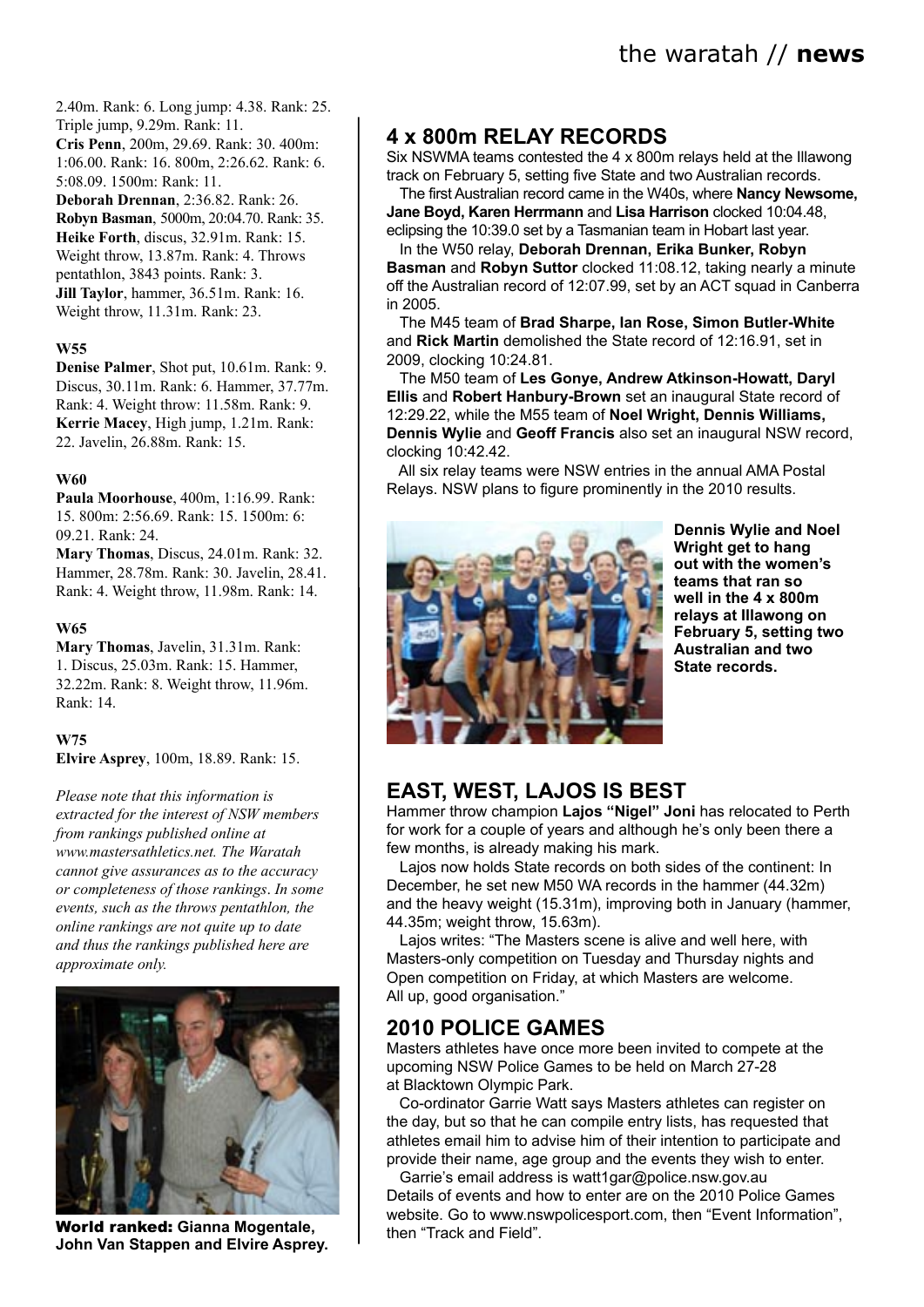the waratah // **news**

2.40m. Rank: 6. Long jump: 4.38. Rank: 25. Triple jump, 9.29m. Rank: 11.

**Cris Penn**, 200m, 29.69. Rank: 30. 400m: 1:06.00. Rank: 16. 800m, 2:26.62. Rank: 6. 5:08.09. 1500m: Rank: 11.

**Deborah Drennan**, 2:36.82. Rank: 26. **Robyn Basman**, 5000m, 20:04.70. Rank: 35. **Heike Forth**, discus, 32.91m. Rank: 15. Weight throw, 13.87m. Rank: 4. Throws pentathlon, 3843 points. Rank: 3. **Jill Taylor**, hammer, 36.51m. Rank: 16. Weight throw, 11.31m. Rank: 23.

#### **W55**

**Denise Palmer**, Shot put, 10.61m. Rank: 9. Discus, 30.11m. Rank: 6. Hammer, 37.77m. Rank: 4. Weight throw: 11.58m. Rank: 9. **Kerrie Macey**, High jump, 1.21m. Rank: 22. Javelin, 26.88m. Rank: 15.

#### **W60**

**Paula Moorhouse**, 400m, 1:16.99. Rank: 15. 800m: 2:56.69. Rank: 15. 1500m: 6: 09.21. Rank: 24.

**Mary Thomas**, Discus, 24.01m. Rank: 32. Hammer, 28.78m. Rank: 30. Javelin, 28.41. Rank: 4. Weight throw, 11.98m. Rank: 14.

#### **W65**

**Mary Thomas**, Javelin, 31.31m. Rank: 1. Discus, 25.03m. Rank: 15. Hammer, 32.22m. Rank: 8. Weight throw, 11.96m. Rank: 14.

#### **W75**

**Elvire Asprey**, 100m, 18.89. Rank: 15.

*Please note that this information is extracted for the interest of NSW members from rankings published online at www.mastersathletics.net. The Waratah cannot give assurances as to the accuracy or completeness of those rankings*. *In some events, such as the throws pentathlon, the online rankings are not quite up to date and thus the rankings published here are approximate only.*



**John Van Stappen and Elvire Asprey.**

# **4 x 800m RELAY RECORDS**

Six NSWMA teams contested the 4 x 800m relays held at the Illawong track on February 5, setting five State and two Australian records.

The first Australian record came in the W40s, where **Nancy Newsome, Jane Boyd, Karen Herrmann** and **Lisa Harrison** clocked 10:04.48, eclipsing the 10:39.0 set by a Tasmanian team in Hobart last year.

In the W50 relay, **Deborah Drennan, Erika Bunker, Robyn Basman** and **Robyn Suttor** clocked 11:08.12, taking nearly a minute off the Australian record of 12:07.99, set by an ACT squad in Canberra in 2005.

The M45 team of **Brad Sharpe, Ian Rose, Simon Butler-White** and **Rick Martin** demolished the State record of 12:16.91, set in 2009, clocking 10:24.81.

The M50 team of **Les Gonye, Andrew Atkinson-Howatt, Daryl Ellis** and **Robert Hanbury-Brown** set an inaugural State record of 12:29.22, while the M55 team of **Noel Wright, Dennis Williams, Dennis Wylie** and **Geoff Francis** also set an inaugural NSW record, clocking 10:42.42.

 All six relay teams were NSW entries in the annual AMA Postal Relays. NSW plans to figure prominently in the 2010 results.



**Dennis Wylie and Noel Wright get to hang out with the women's teams that ran so well in the 4 x 800m relays at Illawong on February 5, setting two Australian and two State records.**

## **EAST, WEST, LAJOS IS BEST**

Hammer throw champion **Lajos "Nigel" Joni** has relocated to Perth for work for a couple of years and although he's only been there a few months, is already making his mark.

Lajos now holds State records on both sides of the continent: In December, he set new M50 WA records in the hammer (44.32m) and the heavy weight (15.31m), improving both in January (hammer, 44.35m; weight throw, 15.63m).

Lajos writes: "The Masters scene is alive and well here, with Masters-only competition on Tuesday and Thursday nights and Open competition on Friday, at which Masters are welcome. All up, good organisation."

## **2010 POLICE GAMES**

Masters athletes have once more been invited to compete at the upcoming NSW Police Games to be held on March 27-28 at Blacktown Olympic Park.

 Co-ordinator Garrie Watt says Masters athletes can register on the day, but so that he can compile entry lists, has requested that athletes email him to advise him of their intention to participate and provide their name, age group and the events they wish to enter.

Garrie's email address is watt1gar@police.nsw.gov.au Details of events and how to enter are on the 2010 Police Games website. Go to www.nswpolicesport.com, then "Event Information",<br>
World ranked: Gianna Mogentale,<br>
then "Track and Field".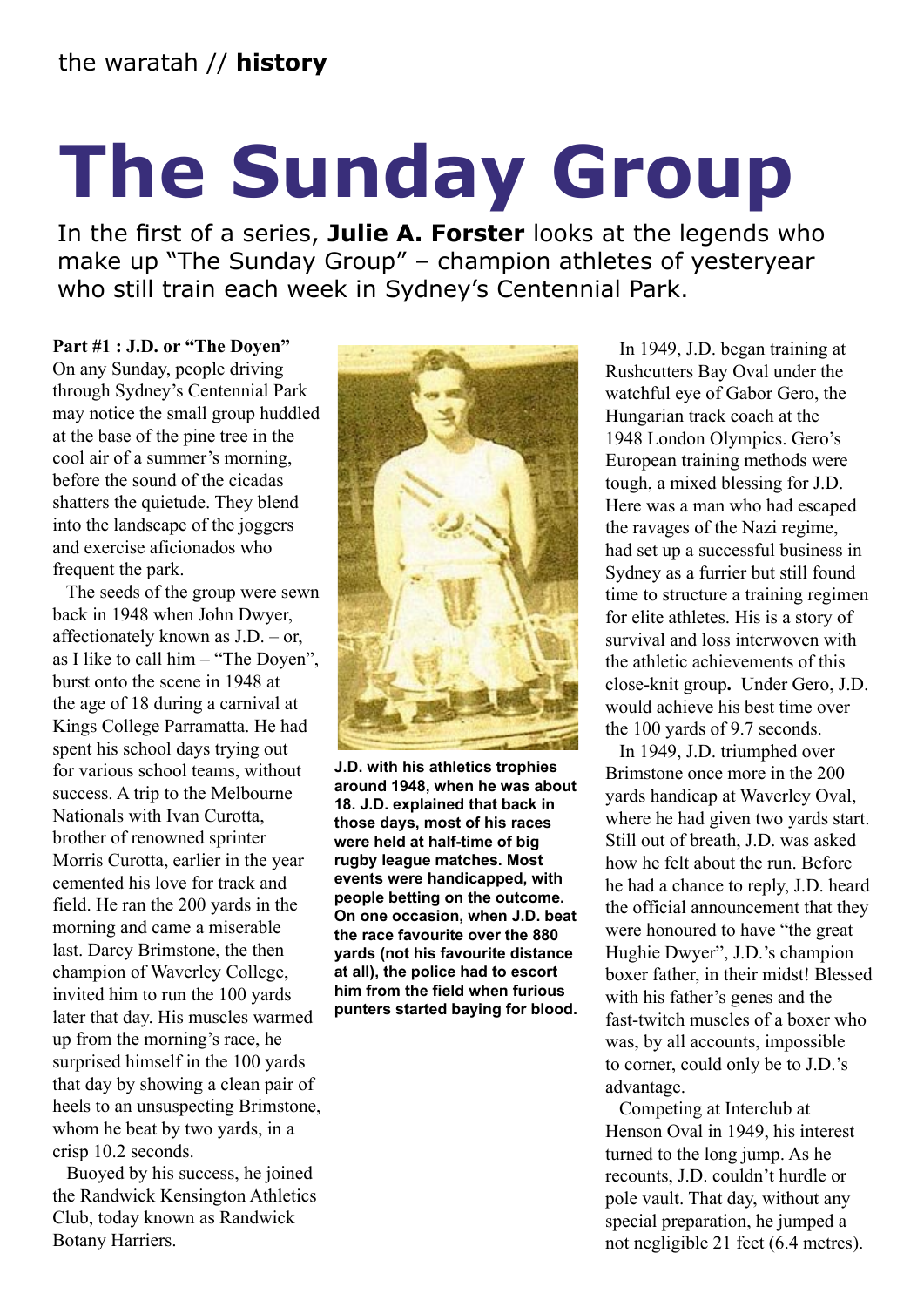# **The Sunday Group**

In the first of a series, **Julie A. Forster** looks at the legends who make up "The Sunday Group" – champion athletes of yesteryear who still train each week in Sydney's Centennial Park.

### **Part #1 : J.D. or "The Doyen"**

On any Sunday, people driving through Sydney's Centennial Park may notice the small group huddled at the base of the pine tree in the cool air of a summer's morning, before the sound of the cicadas shatters the quietude. They blend into the landscape of the joggers and exercise aficionados who frequent the park.

 The seeds of the group were sewn back in 1948 when John Dwyer, affectionately known as J.D. – or, as I like to call him – "The Doyen", burst onto the scene in 1948 at the age of 18 during a carnival at Kings College Parramatta. He had spent his school days trying out for various school teams, without success. A trip to the Melbourne Nationals with Ivan Curotta, brother of renowned sprinter Morris Curotta, earlier in the year cemented his love for track and field. He ran the 200 yards in the morning and came a miserable last. Darcy Brimstone, the then champion of Waverley College, invited him to run the 100 yards later that day. His muscles warmed up from the morning's race, he surprised himself in the 100 yards that day by showing a clean pair of heels to an unsuspecting Brimstone, whom he beat by two yards, in a crisp 10.2 seconds.

 Buoyed by his success, he joined the Randwick Kensington Athletics Club, today known as Randwick Botany Harriers.



**J.D. with his athletics trophies around 1948, when he was about 18. J.D. explained that back in those days, most of his races were held at half-time of big rugby league matches. Most events were handicapped, with people betting on the outcome. On one occasion, when J.D. beat the race favourite over the 880 yards (not his favourite distance at all), the police had to escort him from the field when furious punters started baying for blood.**

 In 1949, J.D. began training at Rushcutters Bay Oval under the watchful eye of Gabor Gero, the Hungarian track coach at the 1948 London Olympics. Gero's European training methods were tough, a mixed blessing for J.D. Here was a man who had escaped the ravages of the Nazi regime, had set up a successful business in Sydney as a furrier but still found time to structure a training regimen for elite athletes. His is a story of survival and loss interwoven with the athletic achievements of this close-knit group**.** Under Gero, J.D. would achieve his best time over the 100 yards of 9.7 seconds.

 In 1949, J.D. triumphed over Brimstone once more in the 200 yards handicap at Waverley Oval, where he had given two yards start. Still out of breath, J.D. was asked how he felt about the run. Before he had a chance to reply, J.D. heard the official announcement that they were honoured to have "the great Hughie Dwyer", J.D.'s champion boxer father, in their midst! Blessed with his father's genes and the fast-twitch muscles of a boxer who was, by all accounts, impossible to corner, could only be to J.D.'s advantage.

 Competing at Interclub at Henson Oval in 1949, his interest turned to the long jump. As he recounts, J.D. couldn't hurdle or pole vault. That day, without any special preparation, he jumped a not negligible 21 feet (6.4 metres).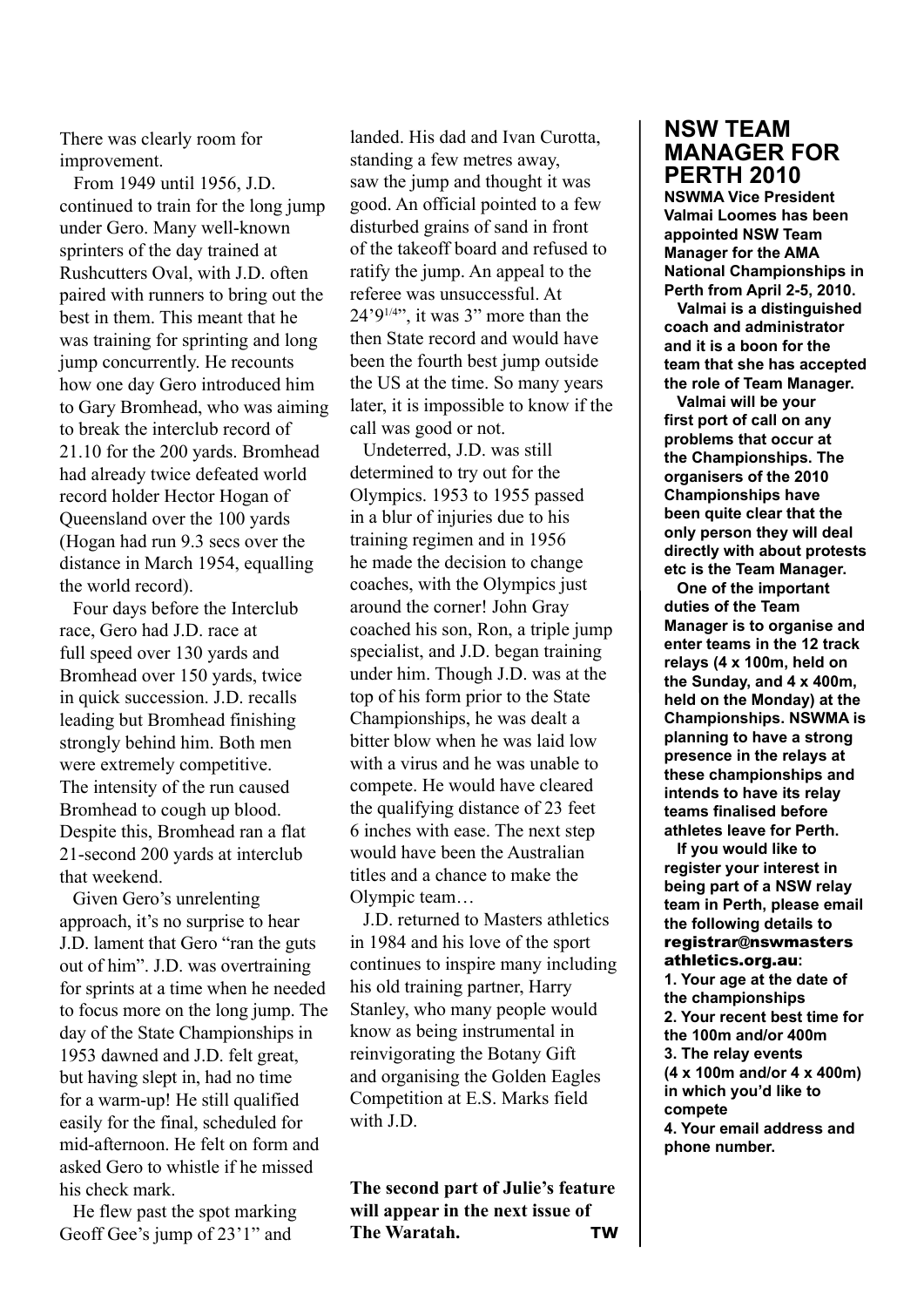There was clearly room for improvement.

 From 1949 until 1956, J.D. continued to train for the long jump under Gero. Many well-known sprinters of the day trained at Rushcutters Oval, with J.D. often paired with runners to bring out the best in them. This meant that he was training for sprinting and long jump concurrently. He recounts how one day Gero introduced him to Gary Bromhead, who was aiming to break the interclub record of 21.10 for the 200 yards. Bromhead had already twice defeated world record holder Hector Hogan of Queensland over the 100 yards (Hogan had run 9.3 secs over the distance in March 1954, equalling the world record).

Four days before the Interclub race, Gero had J.D. race at full speed over 130 yards and Bromhead over 150 yards, twice in quick succession. J.D. recalls leading but Bromhead finishing strongly behind him. Both men were extremely competitive. The intensity of the run caused Bromhead to cough up blood. Despite this, Bromhead ran a flat 21-second 200 yards at interclub that weekend.

Given Gero's unrelenting approach, it's no surprise to hear J.D. lament that Gero "ran the guts out of him". J.D. was overtraining for sprints at a time when he needed to focus more on the long jump. The day of the State Championships in 1953 dawned and J.D. felt great, but having slept in, had no time for a warm-up! He still qualified easily for the final, scheduled for mid-afternoon. He felt on form and asked Gero to whistle if he missed his check mark.

He flew past the spot marking Geoff Gee's jump of 23'1" and

landed. His dad and Ivan Curotta, standing a few metres away, saw the jump and thought it was good. An official pointed to a few disturbed grains of sand in front of the takeoff board and refused to ratify the jump. An appeal to the referee was unsuccessful. At  $24'9^{1/4}$ ; it was 3" more than the then State record and would have been the fourth best jump outside the US at the time. So many years later, it is impossible to know if the call was good or not.

Undeterred, J.D. was still determined to try out for the Olympics. 1953 to 1955 passed in a blur of injuries due to his training regimen and in 1956 he made the decision to change coaches, with the Olympics just around the corner! John Gray coached his son, Ron, a triple jump specialist, and J.D. began training under him. Though J.D. was at the top of his form prior to the State Championships, he was dealt a bitter blow when he was laid low with a virus and he was unable to compete. He would have cleared the qualifying distance of 23 feet 6 inches with ease. The next step would have been the Australian titles and a chance to make the Olympic team…

J.D. returned to Masters athletics in 1984 and his love of the sport continues to inspire many including his old training partner, Harry Stanley, who many people would know as being instrumental in reinvigorating the Botany Gift and organising the Golden Eagles Competition at E.S. Marks field with I<sub>D</sub>.

**The second part of Julie's feature will appear in the next issue of The Waratah. TW**

# **NSW TEAM MANAGER FOR PERTH 2010**

**NSWMA Vice President Valmai Loomes has been appointed NSW Team Manager for the AMA National Championships in Perth from April 2-5, 2010.** 

**Valmai is a distinguished coach and administrator and it is a boon for the team that she has accepted the role of Team Manager.**

 **Valmai will be your first port of call on any problems that occur at the Championships. The organisers of the 2010 Championships have been quite clear that the only person they will deal directly with about protests etc is the Team Manager.** 

 **One of the important duties of the Team Manager is to organise and enter teams in the 12 track relays (4 x 100m, held on the Sunday, and 4 x 400m, held on the Monday) at the Championships. NSWMA is planning to have a strong presence in the relays at these championships and intends to have its relay teams finalised before athletes leave for Perth.** 

 **If you would like to register your interest in being part of a NSW relay team in Perth, please email the following details to**  registrar@nswmasters athletics.org.au**: 1. Your age at the date of the championships 2. Your recent best time for the 100m and/or 400m 3. The relay events (4 x 100m and/or 4 x 400m) in which you'd like to compete 4. Your email address and** 

**phone number.**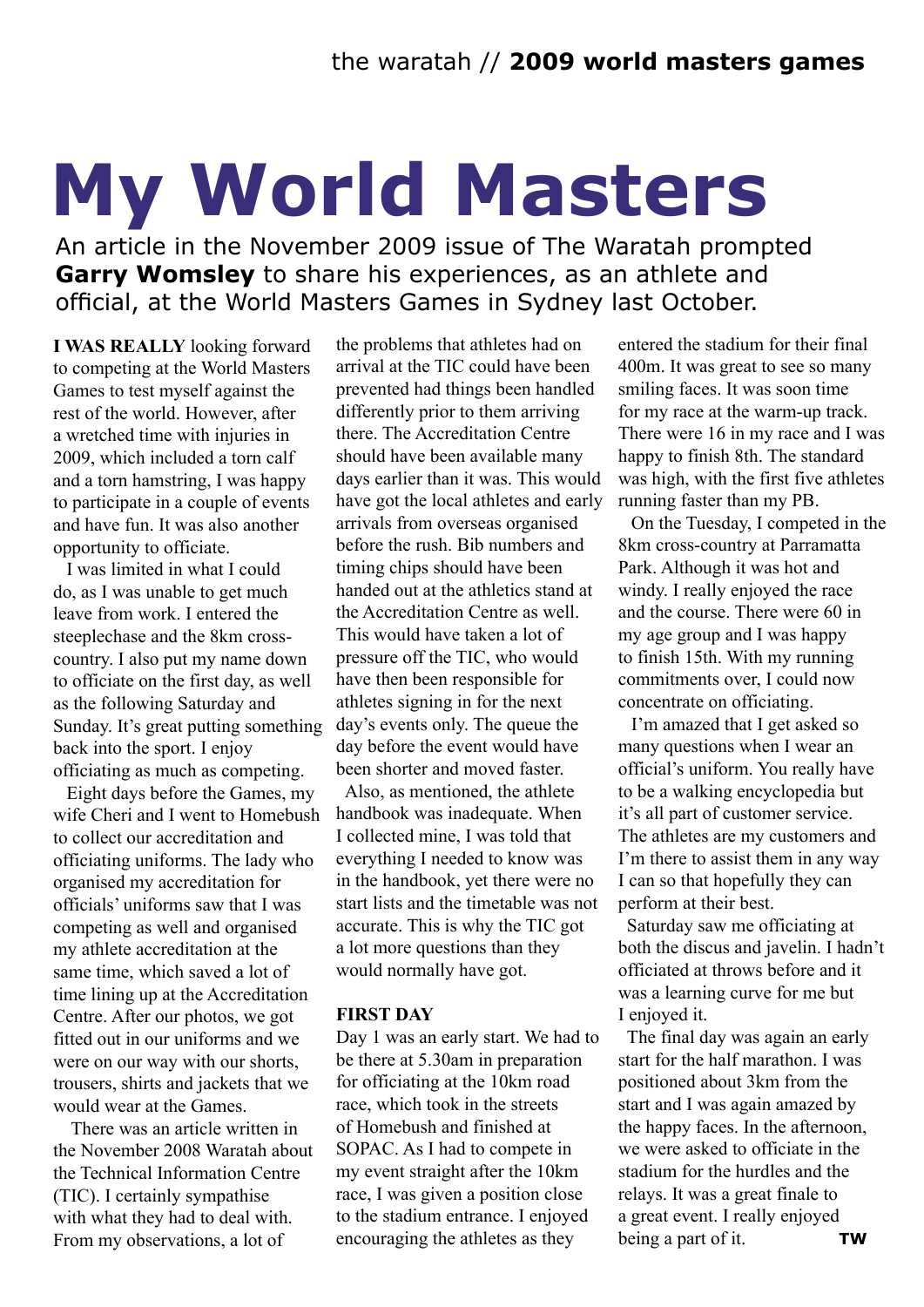# **My World Masters**

An article in the November 2009 issue of The Waratah prompted **Garry Womsley** to share his experiences, as an athlete and official, at the World Masters Games in Sydney last October.

**I WAS REALLY** looking forward to competing at the World Masters Games to test myself against the rest of the world. However, after a wretched time with injuries in 2009, which included a torn calf and a torn hamstring, I was happy to participate in a couple of events and have fun. It was also another opportunity to officiate.

I was limited in what I could do, as I was unable to get much leave from work. I entered the steeplechase and the 8km crosscountry. I also put my name down to officiate on the first day, as well as the following Saturday and Sunday. It's great putting something back into the sport. I enjoy officiating as much as competing.

Eight days before the Games, my wife Cheri and I went to Homebush to collect our accreditation and officiating uniforms. The lady who organised my accreditation for officials' uniforms saw that I was competing as well and organised my athlete accreditation at the same time, which saved a lot of time lining up at the Accreditation Centre. After our photos, we got fitted out in our uniforms and we were on our way with our shorts, trousers, shirts and jackets that we would wear at the Games.

There was an article written in the November 2008 Waratah about the Technical Information Centre (TIC). I certainly sympathise with what they had to deal with. From my observations, a lot of

the problems that athletes had on arrival at the TIC could have been prevented had things been handled differently prior to them arriving there. The Accreditation Centre should have been available many days earlier than it was. This would have got the local athletes and early arrivals from overseas organised before the rush. Bib numbers and timing chips should have been handed out at the athletics stand at the Accreditation Centre as well. This would have taken a lot of pressure off the TIC, who would have then been responsible for athletes signing in for the next day's events only. The queue the day before the event would have been shorter and moved faster.

Also, as mentioned, the athlete handbook was inadequate. When I collected mine, I was told that everything I needed to know was in the handbook, yet there were no start lists and the timetable was not accurate. This is why the TIC got a lot more questions than they would normally have got.

### **FIRST DAY**

Day 1 was an early start. We had to be there at 5.30am in preparation for officiating at the 10km road race, which took in the streets of Homebush and finished at SOPAC. As I had to compete in my event straight after the 10km race, I was given a position close to the stadium entrance. I enjoyed encouraging the athletes as they

entered the stadium for their final 400m. It was great to see so many smiling faces. It was soon time for my race at the warm-up track. There were 16 in my race and I was happy to finish 8th. The standard was high, with the first five athletes running faster than my PB.

On the Tuesday, I competed in the 8km cross-country at Parramatta Park. Although it was hot and windy. I really enjoyed the race and the course. There were 60 in my age group and I was happy to finish 15th. With my running commitments over, I could now concentrate on officiating.

I'm amazed that I get asked so many questions when I wear an official's uniform. You really have to be a walking encyclopedia but it's all part of customer service. The athletes are my customers and I'm there to assist them in any way I can so that hopefully they can perform at their best.

Saturday saw me officiating at both the discus and javelin. I hadn't officiated at throws before and it was a learning curve for me but I enjoyed it.

The final day was again an early start for the half marathon. I was positioned about 3km from the start and I was again amazed by the happy faces. In the afternoon, we were asked to officiate in the stadium for the hurdles and the relays. It was a great finale to a great event. I really enjoyed being a part of it. **TW**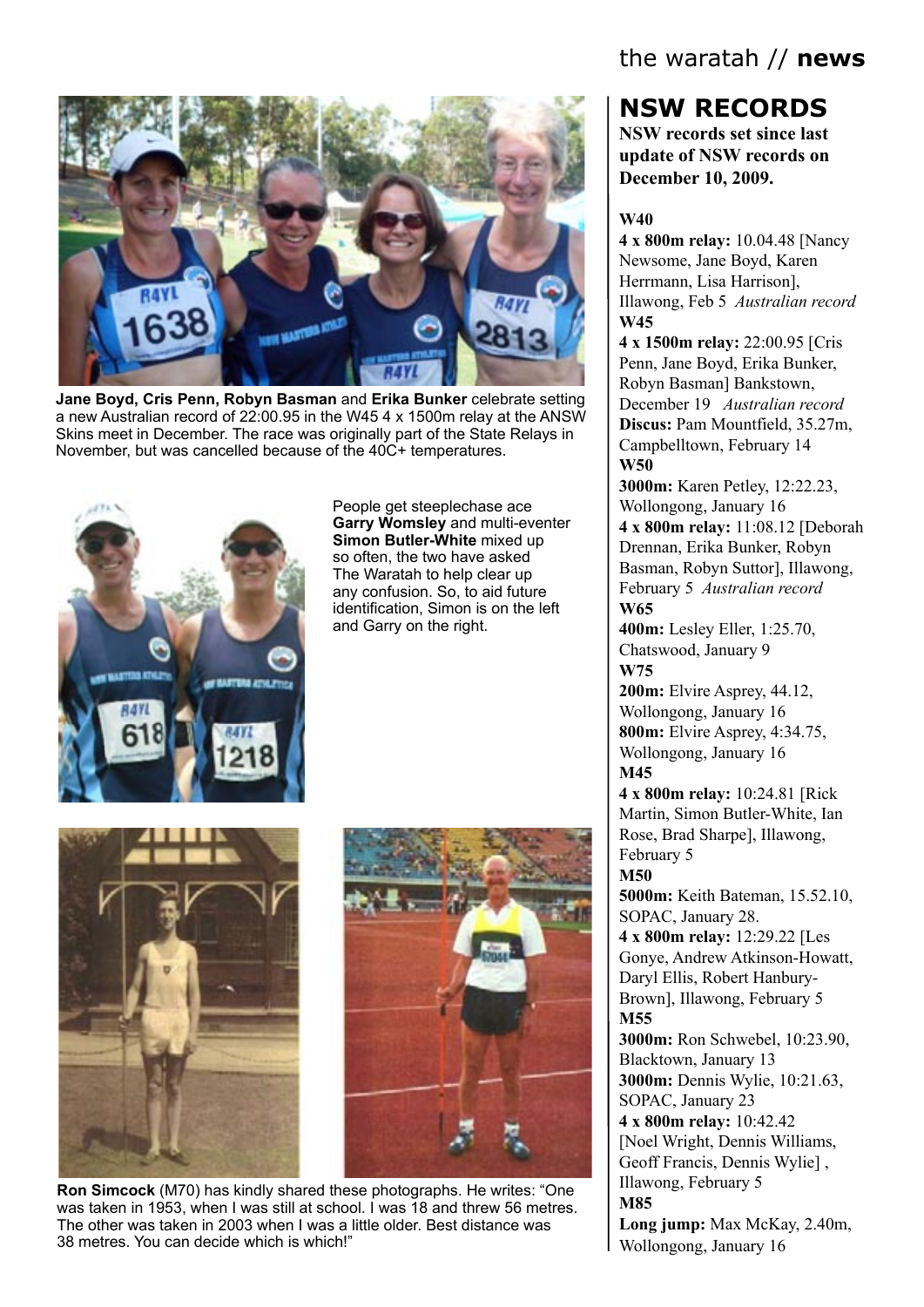

**Jane Boyd, Cris Penn, Robyn Basman** and **Erika Bunker** celebrate setting a new Australian record of 22:00.95 in the W45 4 x 1500m relay at the ANSW Skins meet in December. The race was originally part of the State Relays in November, but was cancelled because of the 40C+ temperatures.



People get steeplechase ace **Garry Womsley** and multi-eventer **Simon Butler-White** mixed up so often, the two have asked The Waratah to help clear up any confusion. So, to aid future identification, Simon is on the left and Garry on the right.





**Ron Simcock** (M70) has kindly shared these photographs. He writes: "One was taken in 1953, when I was still at school. I was 18 and threw 56 metres. The other was taken in 2003 when I was a little older. Best distance was 38 metres. You can decide which is which!"

# the waratah // **news**

# **NSW RECORDS**

**NSW records set since last update of NSW records on December 10, 2009.**

#### **W40**

**4 x 800m relay:** 10.04.48 [Nancy Newsome, Jane Boyd, Karen Herrmann, Lisa Harrison], Illawong, Feb 5 *Australian record* **W45**

**4 x 1500m relay:** 22:00.95 [Cris Penn, Jane Boyd, Erika Bunker, Robyn Basman] Bankstown, December 19 *Australian record* **Discus:** Pam Mountfield, 35.27m, Campbelltown, February 14 **W50**

**3000m:** Karen Petley, 12:22.23, Wollongong, January 16 **4 x 800m relay:** 11:08.12 [Deborah Drennan, Erika Bunker, Robyn Basman, Robyn Suttor], Illawong, February 5 *Australian record* **W65**

**400m:** Lesley Eller, 1:25.70, Chatswood, January 9 **W75**

**200m:** Elvire Asprey, 44.12, Wollongong, January 16 **800m:** Elvire Asprey, 4:34.75, Wollongong, January 16 **M45**

**4 x 800m relay:** 10:24.81 [Rick Martin, Simon Butler-White, Ian Rose, Brad Sharpe], Illawong, February 5

**M50**

**5000m:** Keith Bateman, 15.52.10, SOPAC, January 28.

**4 x 800m relay:** 12:29.22 [Les Gonye, Andrew Atkinson-Howatt, Daryl Ellis, Robert Hanbury-Brown], Illawong, February 5 **M55**

**3000m:** Ron Schwebel, 10:23.90, Blacktown, January 13 **3000m:** Dennis Wylie, 10:21.63, SOPAC, January 23 **4 x 800m relay:** 10:42.42 [Noel Wright, Dennis Williams, Geoff Francis, Dennis Wylie] , Illawong, February 5 **M85**

**Long jump:** Max McKay, 2.40m, Wollongong, January 16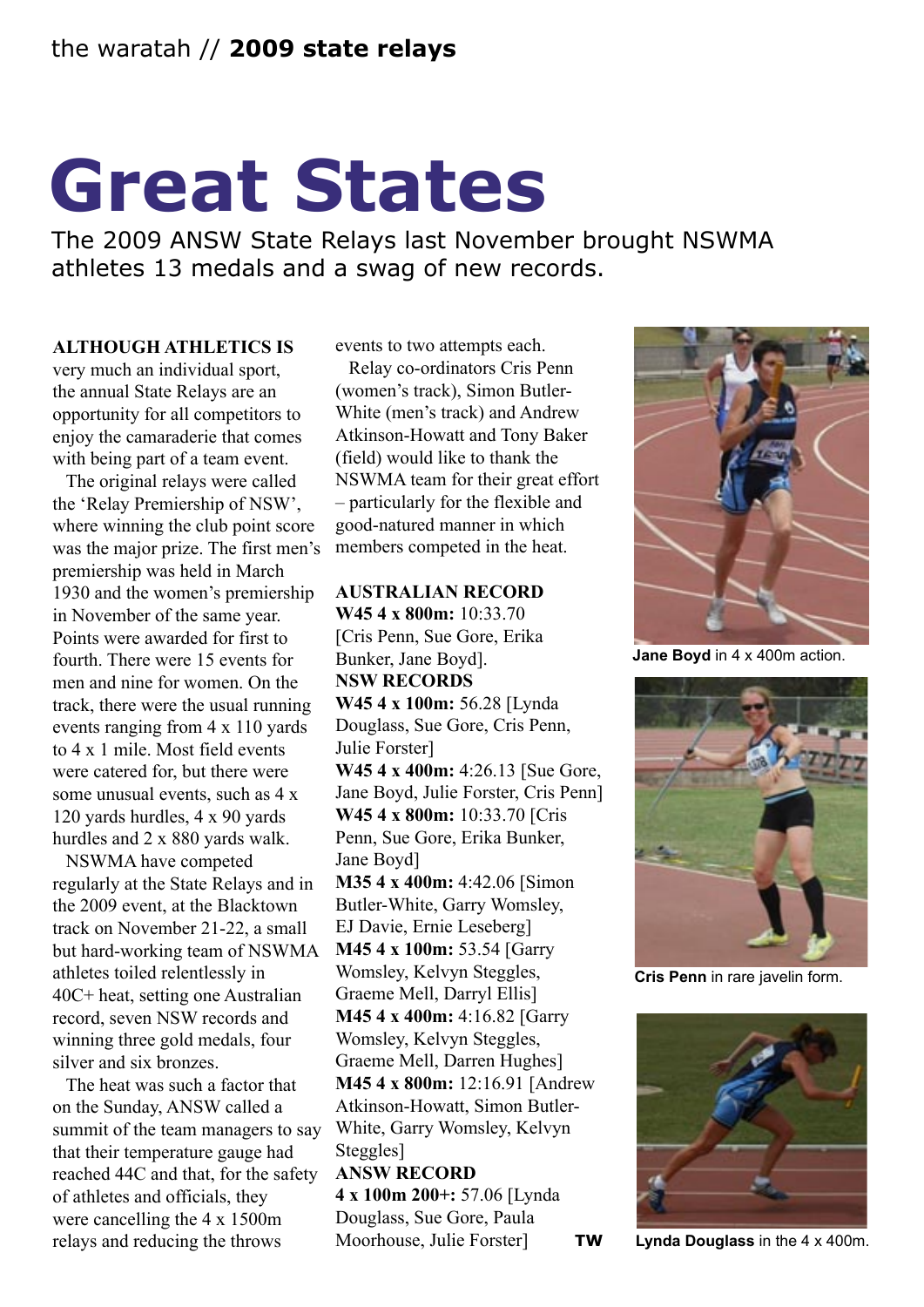# **Great States**

The 2009 ANSW State Relays last November brought NSWMA athletes 13 medals and a swag of new records.

### **ALTHOUGH ATHLETICS IS**

very much an individual sport, the annual State Relays are an opportunity for all competitors to enjoy the camaraderie that comes with being part of a team event.

The original relays were called the 'Relay Premiership of NSW', where winning the club point score was the major prize. The first men's premiership was held in March 1930 and the women's premiership in November of the same year. Points were awarded for first to fourth. There were 15 events for men and nine for women. On the track, there were the usual running events ranging from 4 x 110 yards to 4 x 1 mile. Most field events were catered for, but there were some unusual events, such as 4 x 120 yards hurdles, 4 x 90 yards hurdles and 2 x 880 yards walk.

NSWMA have competed regularly at the State Relays and in the 2009 event, at the Blacktown track on November 21-22, a small but hard-working team of NSWMA athletes toiled relentlessly in 40C+ heat, setting one Australian record, seven NSW records and winning three gold medals, four silver and six bronzes.

The heat was such a factor that on the Sunday, ANSW called a summit of the team managers to say that their temperature gauge had reached 44C and that, for the safety of athletes and officials, they were cancelling the 4 x 1500m relays and reducing the throws

events to two attempts each.

Relay co-ordinators Cris Penn (women's track), Simon Butler-White (men's track) and Andrew Atkinson-Howatt and Tony Baker (field) would like to thank the NSWMA team for their great effort – particularly for the flexible and good-natured manner in which members competed in the heat.

### **AUSTRALIAN RECORD W45 4 x 800m:** 10:33.70 [Cris Penn, Sue Gore, Erika Bunker, Jane Boyd]. **NSW RECORDS W45 4 x 100m:** 56.28 [Lynda Douglass, Sue Gore, Cris Penn, Julie Forster] **W45 4 x 400m:** 4:26.13 [Sue Gore, Jane Boyd, Julie Forster, Cris Penn] **W45 4 x 800m:** 10:33.70 [Cris Penn, Sue Gore, Erika Bunker, Jane Boyd] **M35 4 x 400m:** 4:42.06 [Simon Butler-White, Garry Womsley, EJ Davie, Ernie Leseberg] **M45 4 x 100m:** 53.54 [Garry Womsley, Kelvyn Steggles, Graeme Mell, Darryl Ellis] **M45 4 x 400m:** 4:16.82 [Garry Womsley, Kelvyn Steggles, Graeme Mell, Darren Hughes]

**M45 4 x 800m:** 12:16.91 [Andrew Atkinson-Howatt, Simon Butler-White, Garry Womsley, Kelvyn Steggles<sup>1</sup>

**ANSW RECORD 4 x 100m 200+:** 57.06 [Lynda Douglass, Sue Gore, Paula Moorhouse, Julie Forster] **TW**

**Jane Boyd** in 4 x 400m action.



**Cris Penn** in rare javelin form.



**Lynda Douglass** in the 4 x 400m.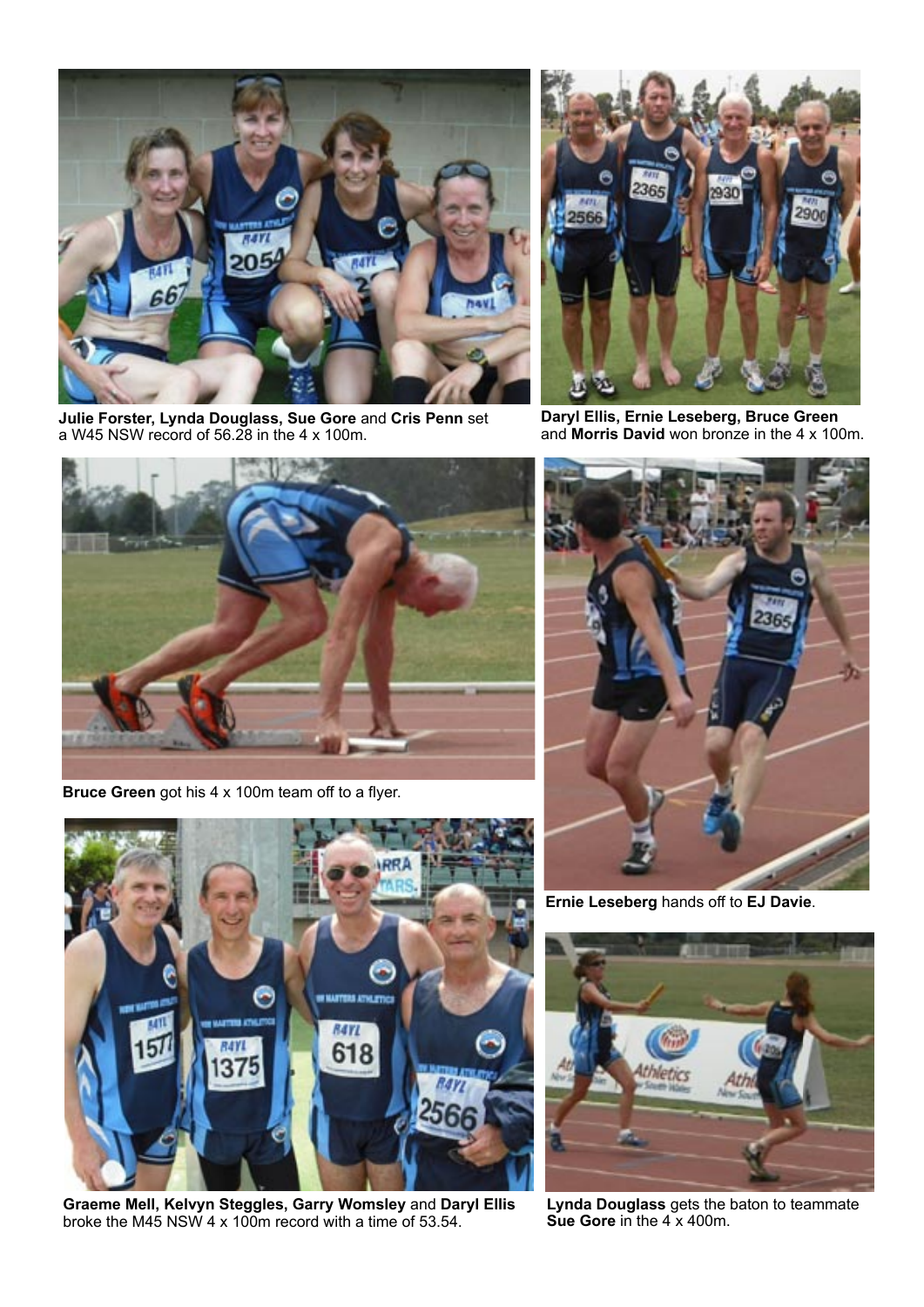

**Julie Forster, Lynda Douglass, Sue Gore** and **Cris Penn** set a W45 NSW record of 56.28 in the 4 x 100m.



**Daryl Ellis, Ernie Leseberg, Bruce Green** and **Morris David** won bronze in the 4 x 100m.



**Bruce Green** got his 4 x 100m team off to a flyer.



**Ernie Leseberg** hands off to **EJ Davie**.



**Lynda Douglass** gets the baton to teammate **Sue Gore** in the 4 x 400m.



**Graeme Mell, Kelvyn Steggles, Garry Womsley** and **Daryl Ellis** broke the M45 NSW 4 x 100m record with a time of 53.54.